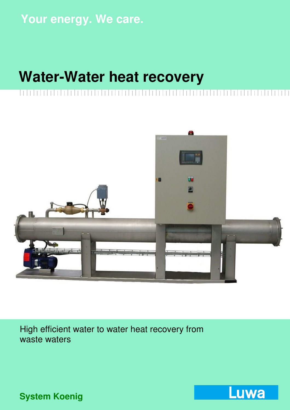# **Your energy. We care.**

# **Water-Water heat recovery**



High efficient water to water heat recovery from waste waters

**Luwa** 

**System Koenig**